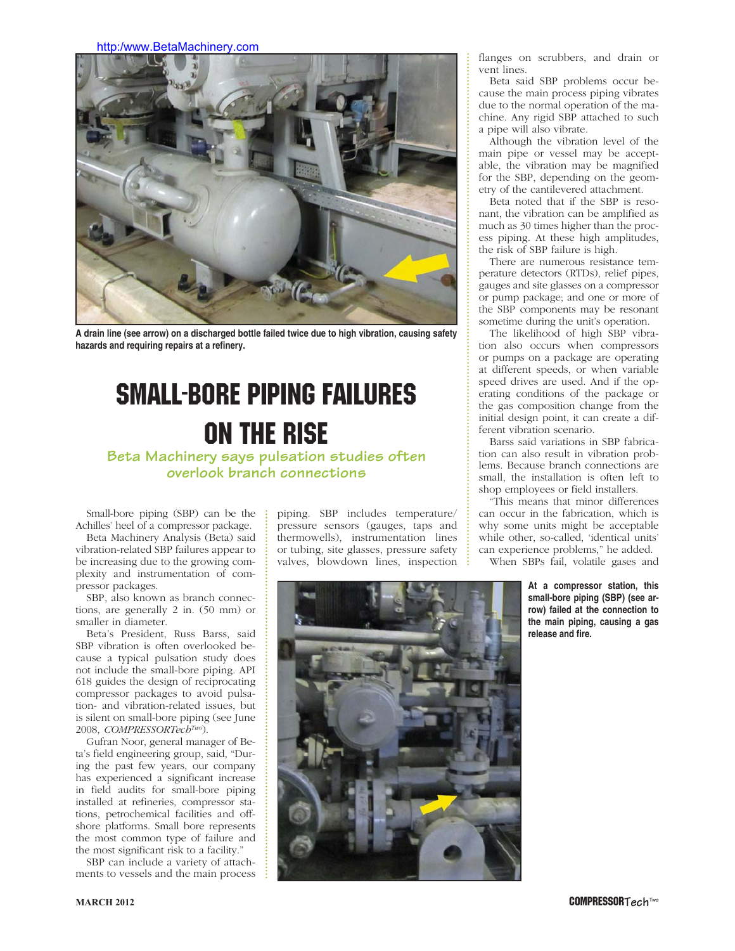http:/www.BetaMachinery.com



**A drain line (see arrow) on a discharged bottle failed twice due to high vibration, causing safety hazards and requiring repairs at a refinery.**

## SMALL-BORE PIPING FAILURES ON THE RISE

**Beta Machinery says pulsation studies often overlook branch connections**

Small-bore piping (SBP) can be the Achilles' heel of a compressor package.

Beta Machinery Analysis (Beta) said vibration-related SBP failures appear to be increasing due to the growing complexity and instrumentation of compressor packages.

SBP, also known as branch connections, are generally 2 in. (50 mm) or smaller in diameter.

Beta's President, Russ Barss, said SBP vibration is often overlooked because a typical pulsation study does not include the small-bore piping. API 618 guides the design of reciprocating compressor packages to avoid pulsation- and vibration-related issues, but is silent on small-bore piping (see June 2008, *COMPRESSORTechTwo*).

Gufran Noor, general manager of Beta's field engineering group, said, "During the past few years, our company has experienced a significant increase in field audits for small-bore piping installed at refineries, compressor stations, petrochemical facilities and offshore platforms. Small bore represents the most common type of failure and the most significant risk to a facility."

SBP can include a variety of attachments to vessels and the main process piping. SBP includes temperature/ pressure sensors (gauges, taps and thermowells), instrumentation lines or tubing, site glasses, pressure safety valves, blowdown lines, inspection



flanges on scrubbers, and drain or vent lines.

Beta said SBP problems occur because the main process piping vibrates due to the normal operation of the machine. Any rigid SBP attached to such a pipe will also vibrate.

Although the vibration level of the main pipe or vessel may be acceptable, the vibration may be magnified for the SBP, depending on the geometry of the cantilevered attachment.

Beta noted that if the SBP is resonant, the vibration can be amplified as much as 30 times higher than the process piping. At these high amplitudes, the risk of SBP failure is high.

There are numerous resistance temperature detectors (RTDs), relief pipes, gauges and site glasses on a compressor or pump package; and one or more of the SBP components may be resonant sometime during the unit's operation.

The likelihood of high SBP vibration also occurs when compressors or pumps on a package are operating at different speeds, or when variable speed drives are used. And if the operating conditions of the package or the gas composition change from the initial design point, it can create a different vibration scenario.

Barss said variations in SBP fabrication can also result in vibration problems. Because branch connections are small, the installation is often left to shop employees or field installers.

"This means that minor differences can occur in the fabrication, which is why some units might be acceptable while other, so-called, 'identical units' can experience problems," he added.

When SBPs fail, volatile gases and

**At a compressor station, this small-bore piping (SBP) (see arrow) failed at the connection to the main piping, causing a gas release and fire.**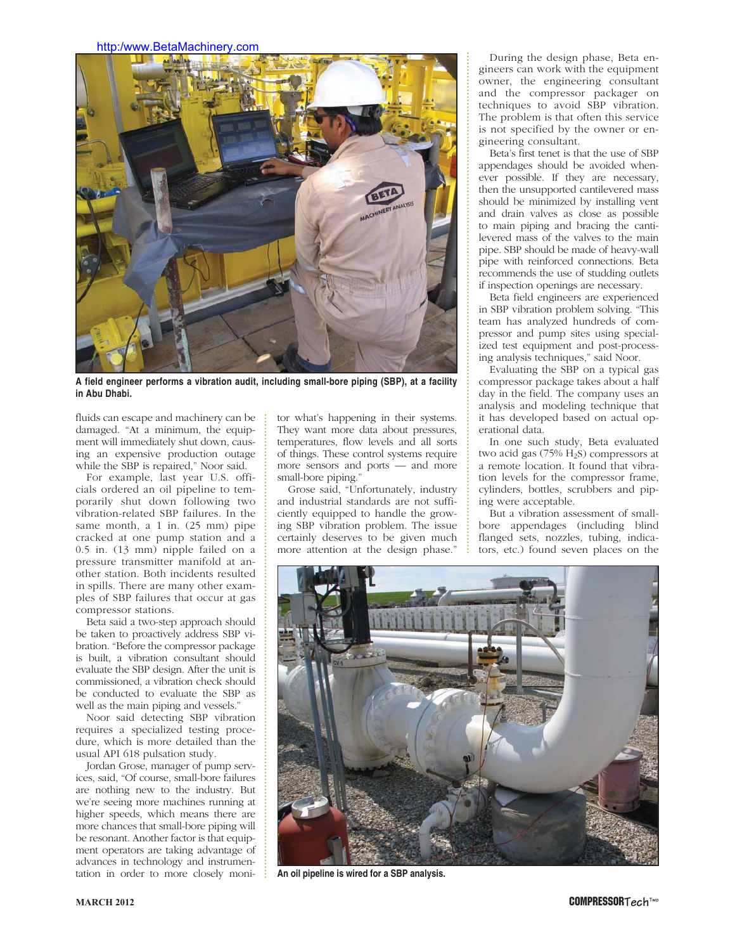## http:/www.BetaMachinery.com



**A field engineer performs a vibration audit, including small-bore piping (SBP), at a facility in Abu Dhabi.**

fluids can escape and machinery can be damaged. "At a minimum, the equipment will immediately shut down, causing an expensive production outage while the SBP is repaired," Noor said.

For example, last year U.S. officials ordered an oil pipeline to temporarily shut down following two vibration-related SBP failures. In the same month, a 1 in. (25 mm) pipe cracked at one pump station and a 0.5 in. (13 mm) nipple failed on a pressure transmitter manifold at another station. Both incidents resulted in spills. There are many other examples of SBP failures that occur at gas compressor stations.

Beta said a two-step approach should be taken to proactively address SBP vibration. "Before the compressor package is built, a vibration consultant should evaluate the SBP design. After the unit is commissioned, a vibration check should be conducted to evaluate the SBP as well as the main piping and vessels."

Noor said detecting SBP vibration requires a specialized testing procedure, which is more detailed than the usual API 618 pulsation study.

Jordan Grose, manager of pump services, said, "Of course, small-bore failures are nothing new to the industry. But we're seeing more machines running at higher speeds, which means there are more chances that small-bore piping will be resonant. Another factor is that equipment operators are taking advantage of advances in technology and instrumentation in order to more closely monitor what's happening in their systems. They want more data about pressures, temperatures, flow levels and all sorts of things. These control systems require more sensors and ports — and more small-bore piping."

Grose said, "Unfortunately, industry and industrial standards are not sufficiently equipped to handle the growing SBP vibration problem. The issue certainly deserves to be given much more attention at the design phase."

During the design phase, Beta engineers can work with the equipment owner, the engineering consultant and the compressor packager on techniques to avoid SBP vibration. The problem is that often this service is not specified by the owner or engineering consultant.

Beta's first tenet is that the use of SBP appendages should be avoided whenever possible. If they are necessary, then the unsupported cantilevered mass should be minimized by installing vent and drain valves as close as possible to main piping and bracing the cantilevered mass of the valves to the main pipe. SBP should be made of heavy-wall pipe with reinforced connections. Beta recommends the use of studding outlets if inspection openings are necessary.

Beta field engineers are experienced in SBP vibration problem solving. "This team has analyzed hundreds of compressor and pump sites using specialized test equipment and post-processing analysis techniques," said Noor.

Evaluating the SBP on a typical gas compressor package takes about a half day in the field. The company uses an analysis and modeling technique that it has developed based on actual operational data.

In one such study, Beta evaluated two acid gas  $(75\% \text{ H}_2\text{S})$  compressors at a remote location. It found that vibration levels for the compressor frame, cylinders, bottles, scrubbers and piping were acceptable.

But a vibration assessment of smallbore appendages (including blind flanged sets, nozzles, tubing, indicators, etc.) found seven places on the



**An oil pipeline is wired for a SBP analysis.**